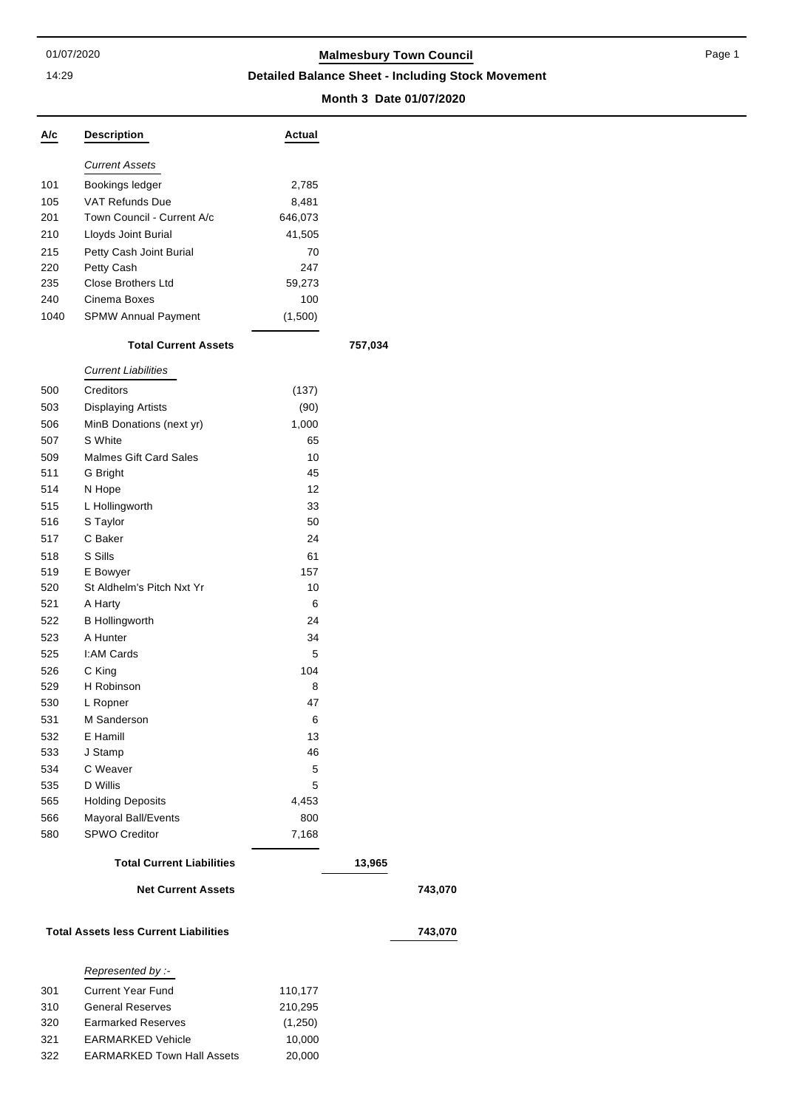#### 14:29

# 01/07/2020 **Malmesbury Town Council**

**Detailed Balance Sheet - Including Stock Movement**

### **Month 3 Date 01/07/2020**

**Net Current Assets 743,070**

**Total Assets less Current Liabilities 743,070**

| A/c                                          | <b>Description</b>                | Actual  |         |  |
|----------------------------------------------|-----------------------------------|---------|---------|--|
|                                              | <b>Current Assets</b>             |         |         |  |
| 101                                          | Bookings ledger                   | 2,785   |         |  |
| 105                                          | <b>VAT Refunds Due</b>            | 8,481   |         |  |
| 201                                          | Town Council - Current A/c        | 646,073 |         |  |
| 210                                          | Lloyds Joint Burial               | 41,505  |         |  |
| 215                                          | Petty Cash Joint Burial           | 70      |         |  |
| 220                                          | Petty Cash                        | 247     |         |  |
| 235                                          | <b>Close Brothers Ltd</b>         | 59,273  |         |  |
| 240                                          | Cinema Boxes                      | 100     |         |  |
| 1040                                         | <b>SPMW Annual Payment</b>        | (1,500) |         |  |
|                                              | <b>Total Current Assets</b>       |         | 757,034 |  |
|                                              | <b>Current Liabilities</b>        |         |         |  |
| 500                                          | Creditors                         | (137)   |         |  |
| 503                                          | <b>Displaying Artists</b>         | (90)    |         |  |
| 506                                          | MinB Donations (next yr)          | 1,000   |         |  |
| 507                                          | S White                           | 65      |         |  |
| 509                                          | <b>Malmes Gift Card Sales</b>     | 10      |         |  |
| 511                                          | G Bright                          | 45      |         |  |
| 514                                          | N Hope                            | 12      |         |  |
| 515                                          | L Hollingworth                    | 33      |         |  |
| 516                                          | S Taylor                          | 50      |         |  |
| 517                                          | C Baker                           | 24      |         |  |
| 518                                          | S Sills                           | 61      |         |  |
| 519                                          | E Bowyer                          | 157     |         |  |
| 520                                          | St Aldhelm's Pitch Nxt Yr         | 10      |         |  |
| 521                                          | A Harty                           | 6       |         |  |
| 522                                          | <b>B</b> Hollingworth             | 24      |         |  |
| 523                                          | A Hunter                          | 34      |         |  |
| 525                                          | I:AM Cards                        | 5       |         |  |
| 526                                          | C King                            | 104     |         |  |
| 529                                          | H Robinson                        | 8       |         |  |
| 530                                          | L Ropner                          | 47      |         |  |
| 531                                          | M Sanderson                       | 6       |         |  |
| 532                                          | E Hamill                          | 13      |         |  |
| 533                                          | J Stamp                           | 46      |         |  |
| 534                                          | C Weaver                          | 5       |         |  |
| 535                                          | D Willis                          | 5       |         |  |
| 565                                          | <b>Holding Deposits</b>           | 4,453   |         |  |
| 566                                          | Mayoral Ball/Events               | 800     |         |  |
| 580                                          | <b>SPWO Creditor</b>              | 7,168   |         |  |
|                                              | <b>Total Current Liabilities</b>  |         | 13,965  |  |
|                                              | <b>Net Current Assets</b>         |         |         |  |
| <b>Total Assets less Current Liabilities</b> |                                   |         |         |  |
|                                              | Represented by :-                 |         |         |  |
| 301                                          | <b>Current Year Fund</b>          | 110,177 |         |  |
| 310                                          | <b>General Reserves</b>           | 210,295 |         |  |
| 320                                          | <b>Earmarked Reserves</b>         | (1,250) |         |  |
| 321                                          | <b>EARMARKED Vehicle</b>          | 10,000  |         |  |
| 322                                          | <b>EARMARKED Town Hall Assets</b> | 20,000  |         |  |